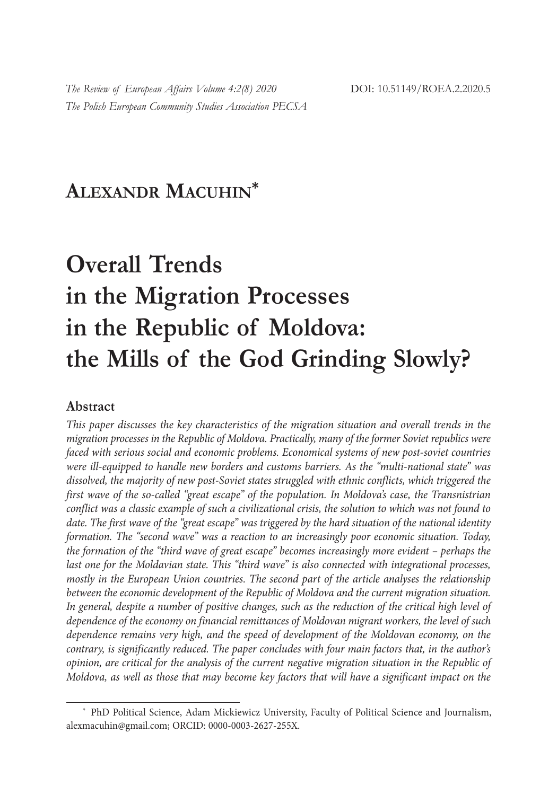## **ALEXANDR MACUHIN\***

# **Overall Trends in the Migration Processes in the Republic of Moldova: the Mills of the God Grinding Slowly?**

### **Abstract**

*This paper discusses the key characteristics of the migration situation and overall trends in the migration processes in the Republic of Moldova. Practically, many of the former Soviet republics were faced with serious social and economic problems. Economical systems of new post-soviet countries were ill-equipped to handle new borders and customs barriers. As the "multi-national state" was dissolved, the majority of new post-Soviet states struggled with ethnic conflicts, which triggered the first wave of the so-called "great escape" of the population. In Moldova's case, the Transnistrian conflict was a classic example of such a civilizational crisis, the solution to which was not found to date. The first wave of the "great escape" was triggered by the hard situation of the national identity formation. The "second wave" was a reaction to an increasingly poor economic situation. Today, the formation of the "third wave of great escape" becomes increasingly more evident – perhaps the last one for the Moldavian state. This "third wave" is also connected with integrational processes, mostly in the European Union countries. The second part of the article analyses the relationship between the economic development of the Republic of Moldova and the current migration situation. In general, despite a number of positive changes, such as the reduction of the critical high level of dependence of the economy on financial remittances of Moldovan migrant workers, the level of such dependence remains very high, and the speed of development of the Moldovan economy, on the contrary, is significantly reduced. The paper concludes with four main factors that, in the author's opinion, are critical for the analysis of the current negative migration situation in the Republic of Moldova, as well as those that may become key factors that will have a significant impact on the* 

<sup>\*</sup> PhD Political Science, Adam Mickiewicz University, Faculty of Political Science and Journalism, alexmacuhin@gmail.com; ORCID: 0000-0003-2627-255X.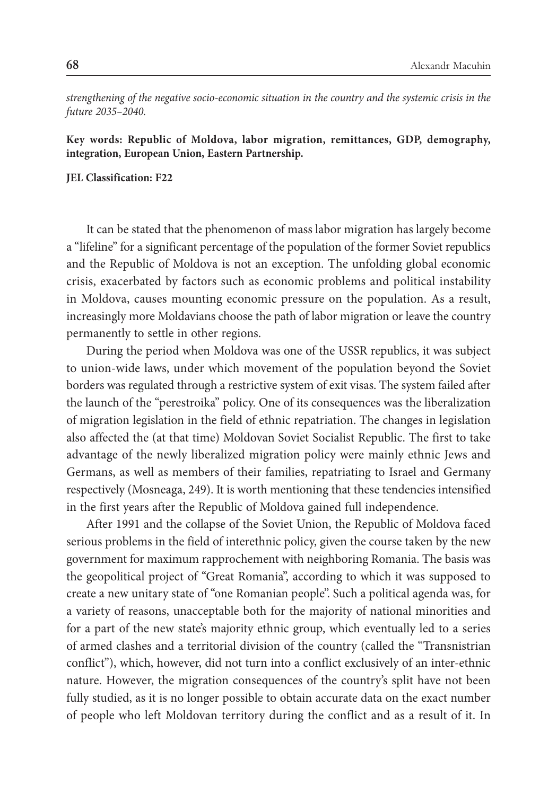*strengthening of the negative socio-economic situation in the country and the systemic crisis in the future 2035–2040.*

**Key words: Republic of Moldova, labor migration, remittances, GDP, demography, integration, European Union, Eastern Partnership.**

#### **JEL Classification: F22**

It can be stated that the phenomenon of mass labor migration has largely become a "lifeline" for a significant percentage of the population of the former Soviet republics and the Republic of Moldova is not an exception. The unfolding global economic crisis, exacerbated by factors such as economic problems and political instability in Moldova, causes mounting economic pressure on the population. As a result, increasingly more Moldavians choose the path of labor migration or leave the country permanently to settle in other regions.

During the period when Moldova was one of the USSR republics, it was subject to union-wide laws, under which movement of the population beyond the Soviet borders was regulated through a restrictive system of exit visas. The system failed after the launch of the "perestroika" policy. One of its consequences was the liberalization of migration legislation in the field of ethnic repatriation. The changes in legislation also affected the (at that time) Moldovan Soviet Socialist Republic. The first to take advantage of the newly liberalized migration policy were mainly ethnic Jews and Germans, as well as members of their families, repatriating to Israel and Germany respectively (Mosneaga, 249). It is worth mentioning that these tendencies intensified in the first years after the Republic of Moldova gained full independence.

After 1991 and the collapse of the Soviet Union, the Republic of Moldova faced serious problems in the field of interethnic policy, given the course taken by the new government for maximum rapprochement with neighboring Romania. The basis was the geopolitical project of "Great Romania", according to which it was supposed to create a new unitary state of "one Romanian people". Such a political agenda was, for a variety of reasons, unacceptable both for the majority of national minorities and for a part of the new state's majority ethnic group, which eventually led to a series of armed clashes and a territorial division of the country (called the "Transnistrian conflict"), which, however, did not turn into a conflict exclusively of an inter-ethnic nature. However, the migration consequences of the country's split have not been fully studied, as it is no longer possible to obtain accurate data on the exact number of people who left Moldovan territory during the conflict and as a result of it. In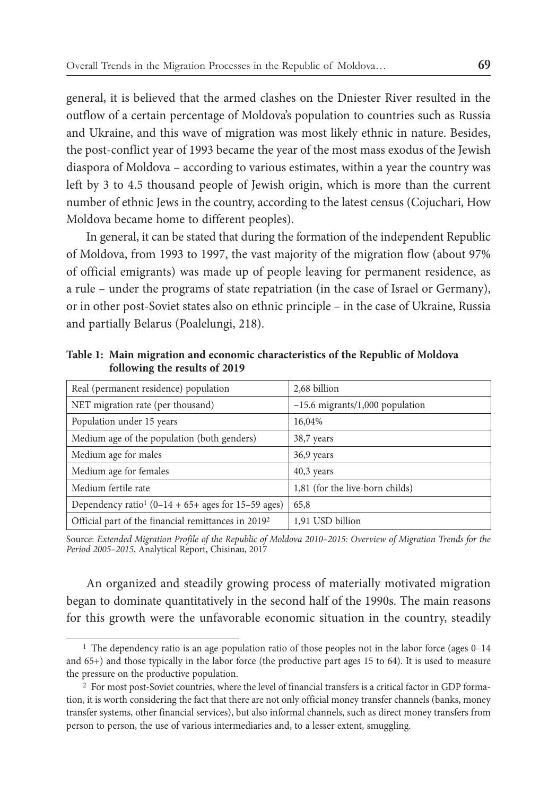general, it is believed that the armed clashes on the Dniester River resulted in the outflow of a certain percentage of Moldova's population to countries such as Russia and Ukraine, and this wave of migration was most likely ethnic in nature. Besides, the post-conflict year of 1993 became the year of the most mass exodus of the Jewish diaspora of Moldova – according to various estimates, within a year the country was left by 3 to 4.5 thousand people of Jewish origin, which is more than the current number of ethnic Jews in the country, according to the latest census (Cojuchari, How Moldova became home to different peoples).

In general, it can be stated that during the formation of the independent Republic of Moldova, from 1993 to 1997, the vast majority of the migration flow (about 97% of official emigrants) was made up of people leaving for permanent residence, as a rule – under the programs of state repatriation (in the case of Israel or Germany), or in other post-Soviet states also on ethnic principle – in the case of Ukraine, Russia and partially Belarus (Poalelungi, 218).

| Real (permanent residence) population                           | 2,68 billion                      |
|-----------------------------------------------------------------|-----------------------------------|
| NET migration rate (per thousand)                               | $-15.6$ migrants/1,000 population |
| Population under 15 years                                       | 16,04%                            |
| Medium age of the population (both genders)                     | 38,7 years                        |
| Medium age for males                                            | 36,9 years                        |
| Medium age for females                                          | $40,3$ years                      |
| Medium fertile rate                                             | 1,81 (for the live-born childs)   |
| Dependency ratio <sup>1</sup> (0–14 + 65+ ages for 15–59 ages)  | 65,8                              |
| Official part of the financial remittances in 2019 <sup>2</sup> | 1.91 USD billion                  |

**Table 1: Main migration and economic characteristics of the Republic of Moldova following the results of 2019** 

Source: *Extended Migration Profile of the Republic of Moldova 2010–2015: Overview of Migration Trends for the Period 2005–2015*, Analytical Report, Chisinau, 2017

An organized and steadily growing process of materially motivated migration began to dominate quantitatively in the second half of the 1990s. The main reasons for this growth were the unfavorable economic situation in the country, steadily

<sup>&</sup>lt;sup>1</sup> The dependency ratio is an age-population ratio of those peoples not in the labor force (ages 0–14 and 65+) and those typically in the labor force (the productive part ages 15 to 64). It is used to measure the pressure on the productive population.

<sup>2</sup> For most post-Soviet countries, where the level of financial transfers is a critical factor in GDP formation, it is worth considering the fact that there are not only official money transfer channels (banks, money transfer systems, other financial services), but also informal channels, such as direct money transfers from person to person, the use of various intermediaries and, to a lesser extent, smuggling.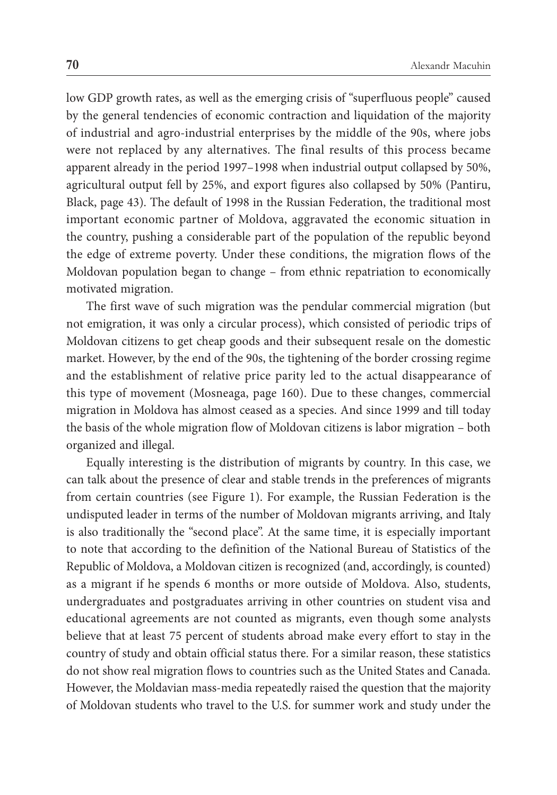low GDP growth rates, as well as the emerging crisis of "superfluous people" caused by the general tendencies of economic contraction and liquidation of the majority of industrial and agro-industrial enterprises by the middle of the 90s, where jobs were not replaced by any alternatives. The final results of this process became apparent already in the period 1997–1998 when industrial output collapsed by 50%, agricultural output fell by 25%, and export figures also collapsed by 50% (Pantiru, Black, page 43). The default of 1998 in the Russian Federation, the traditional most important economic partner of Moldova, aggravated the economic situation in the country, pushing a considerable part of the population of the republic beyond the edge of extreme poverty. Under these conditions, the migration flows of the Moldovan population began to change – from ethnic repatriation to economically motivated migration.

The first wave of such migration was the pendular commercial migration (but not emigration, it was only a circular process), which consisted of periodic trips of Moldovan citizens to get cheap goods and their subsequent resale on the domestic market. However, by the end of the 90s, the tightening of the border crossing regime and the establishment of relative price parity led to the actual disappearance of this type of movement (Mosneaga, page 160). Due to these changes, commercial migration in Moldova has almost ceased as a species. And since 1999 and till today the basis of the whole migration flow of Moldovan citizens is labor migration – both organized and illegal.

Equally interesting is the distribution of migrants by country. In this case, we can talk about the presence of clear and stable trends in the preferences of migrants from certain countries (see Figure 1). For example, the Russian Federation is the undisputed leader in terms of the number of Moldovan migrants arriving, and Italy is also traditionally the "second place". At the same time, it is especially important to note that according to the definition of the National Bureau of Statistics of the Republic of Moldova, a Moldovan citizen is recognized (and, accordingly, is counted) as a migrant if he spends 6 months or more outside of Moldova. Also, students, undergraduates and postgraduates arriving in other countries on student visa and educational agreements are not counted as migrants, even though some analysts believe that at least 75 percent of students abroad make every effort to stay in the country of study and obtain official status there. For a similar reason, these statistics do not show real migration flows to countries such as the United States and Canada. However, the Moldavian mass-media repeatedly raised the question that the majority of Moldovan students who travel to the U.S. for summer work and study under the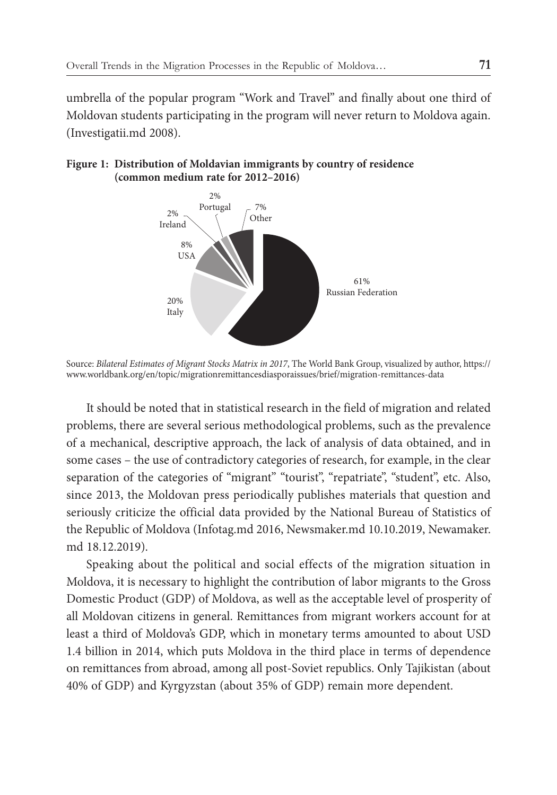umbrella of the popular program "Work and Travel" and finally about one third of Moldovan students participating in the program will never return to Moldova again. (Investigatii.md 2008).

#### **Figure 1: Distribution of Moldavian immigrants by country of residence (common medium rate for 2012–2016)**



Source: *Bilateral Estimates of Migrant Stocks Matrix in 2017*, The World Bank Group, visualized by author, https:// www.worldbank.org/en/topic/migrationremittancesdiasporaissues/brief/migration-remittances-data

It should be noted that in statistical research in the field of migration and related problems, there are several serious methodological problems, such as the prevalence of a mechanical, descriptive approach, the lack of analysis of data obtained, and in some cases – the use of contradictory categories of research, for example, in the clear separation of the categories of "migrant" "tourist", "repatriate", "student", etc. Also, since 2013, the Moldovan press periodically publishes materials that question and seriously criticize the official data provided by the National Bureau of Statistics of the Republic of Moldova (Infotag.md 2016, Newsmaker.md 10.10.2019, Newamaker. md 18.12.2019).

Speaking about the political and social effects of the migration situation in Moldova, it is necessary to highlight the contribution of labor migrants to the Gross Domestic Product (GDP) of Moldova, as well as the acceptable level of prosperity of all Moldovan citizens in general. Remittances from migrant workers account for at least a third of Moldova's GDP, which in monetary terms amounted to about USD 1.4 billion in 2014, which puts Moldova in the third place in terms of dependence on remittances from abroad, among all post-Soviet republics. Only Tajikistan (about 40% of GDP) and Kyrgyzstan (about 35% of GDP) remain more dependent.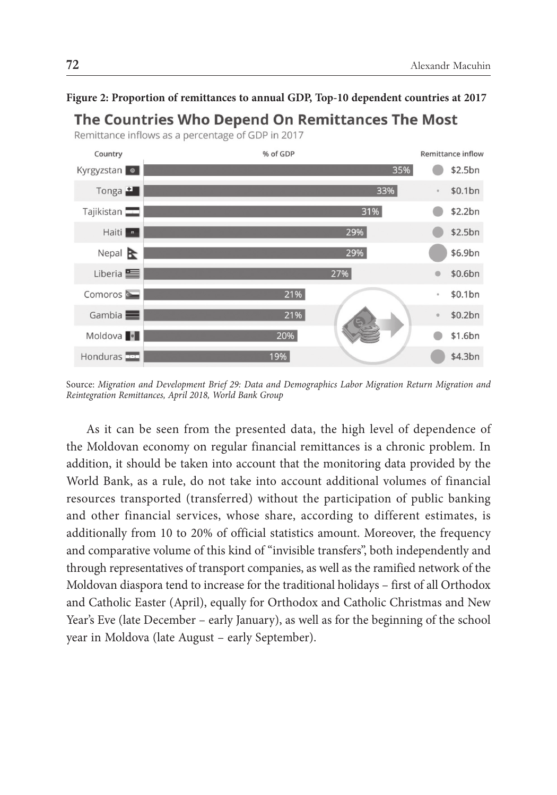

#### **Figure 2: Proportion of remittances to annual GDP, Top-10 dependent countries at 2017**

Source: *Migration and Development Brief 29: Data and Demographics Labor Migration Return Migration and Reintegration Remittances, April 2018, World Bank Group*

As it can be seen from the presented data, the high level of dependence of the Moldovan economy on regular financial remittances is a chronic problem. In addition, it should be taken into account that the monitoring data provided by the World Bank, as a rule, do not take into account additional volumes of financial resources transported (transferred) without the participation of public banking and other financial services, whose share, according to different estimates, is additionally from 10 to 20% of official statistics amount. Moreover, the frequency and comparative volume of this kind of "invisible transfers", both independently and through representatives of transport companies, as well as the ramified network of the Moldovan diaspora tend to increase for the traditional holidays – first of all Orthodox and Catholic Easter (April), equally for Orthodox and Catholic Christmas and New Year's Eve (late December – early January), as well as for the beginning of the school year in Moldova (late August – early September).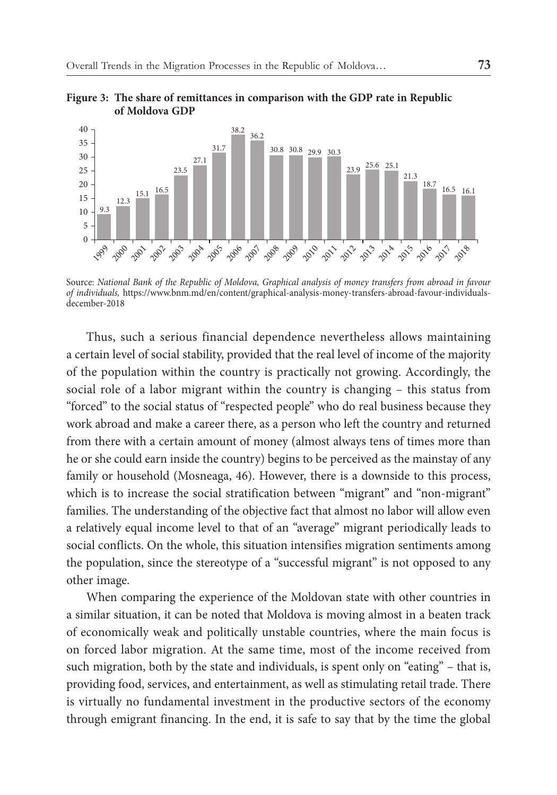

**Figure 3: The share of remittances in comparison with the GDP rate in Republic of Moldova GDP**

Source: *National Bank of the Republic of Moldova, Graphical analysis of money transfers from abroad in favour of individuals,* https://www.bnm.md/en/content/graphical-analysis-money-transfers-abroad-favour-individualsdecember-2018

Thus, such a serious financial dependence nevertheless allows maintaining a certain level of social stability, provided that the real level of income of the majority of the population within the country is practically not growing. Accordingly, the social role of a labor migrant within the country is changing – this status from "forced" to the social status of "respected people" who do real business because they work abroad and make a career there, as a person who left the country and returned from there with a certain amount of money (almost always tens of times more than he or she could earn inside the country) begins to be perceived as the mainstay of any family or household (Mosneaga, 46). However, there is a downside to this process, which is to increase the social stratification between "migrant" and "non-migrant" families. The understanding of the objective fact that almost no labor will allow even a relatively equal income level to that of an "average" migrant periodically leads to social conflicts. On the whole, this situation intensifies migration sentiments among the population, since the stereotype of a "successful migrant" is not opposed to any other image.

When comparing the experience of the Moldovan state with other countries in a similar situation, it can be noted that Moldova is moving almost in a beaten track of economically weak and politically unstable countries, where the main focus is on forced labor migration. At the same time, most of the income received from such migration, both by the state and individuals, is spent only on "eating" – that is, providing food, services, and entertainment, as well as stimulating retail trade. There is virtually no fundamental investment in the productive sectors of the economy through emigrant financing. In the end, it is safe to say that by the time the global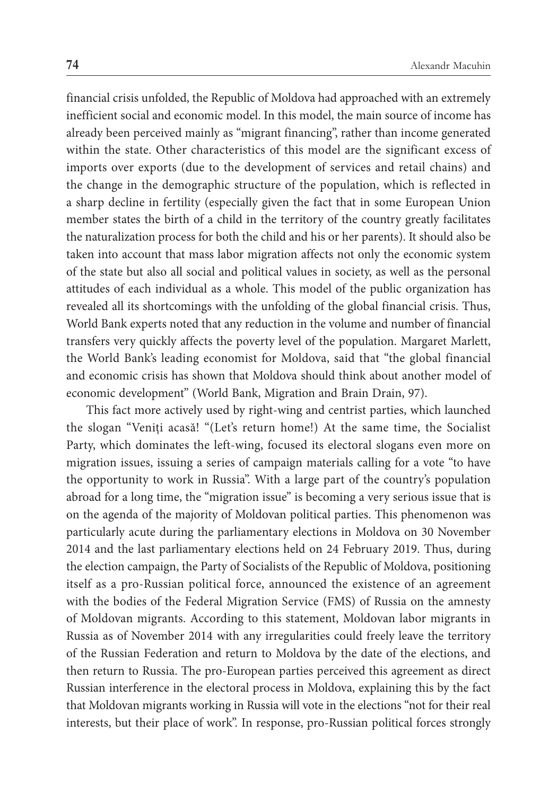financial crisis unfolded, the Republic of Moldova had approached with an extremely inefficient social and economic model. In this model, the main source of income has already been perceived mainly as "migrant financing", rather than income generated within the state. Other characteristics of this model are the significant excess of imports over exports (due to the development of services and retail chains) and the change in the demographic structure of the population, which is reflected in a sharp decline in fertility (especially given the fact that in some European Union member states the birth of a child in the territory of the country greatly facilitates the naturalization process for both the child and his or her parents). It should also be taken into account that mass labor migration affects not only the economic system of the state but also all social and political values in society, as well as the personal attitudes of each individual as a whole. This model of the public organization has revealed all its shortcomings with the unfolding of the global financial crisis. Thus, World Bank experts noted that any reduction in the volume and number of financial transfers very quickly affects the poverty level of the population. Margaret Marlett, the World Bank's leading economist for Moldova, said that "the global financial and economic crisis has shown that Moldova should think about another model of economic development" (World Bank, Migration and Brain Drain, 97).

This fact more actively used by right-wing and centrist parties, which launched the slogan "Veniți acasă! "(Let's return home!) At the same time, the Socialist Party, which dominates the left-wing, focused its electoral slogans even more on migration issues, issuing a series of campaign materials calling for a vote "to have the opportunity to work in Russia". With a large part of the country's population abroad for a long time, the "migration issue" is becoming a very serious issue that is on the agenda of the majority of Moldovan political parties. This phenomenon was particularly acute during the parliamentary elections in Moldova on 30 November 2014 and the last parliamentary elections held on 24 February 2019. Thus, during the election campaign, the Party of Socialists of the Republic of Moldova, positioning itself as a pro-Russian political force, announced the existence of an agreement with the bodies of the Federal Migration Service (FMS) of Russia on the amnesty of Moldovan migrants. According to this statement, Moldovan labor migrants in Russia as of November 2014 with any irregularities could freely leave the territory of the Russian Federation and return to Moldova by the date of the elections, and then return to Russia. The pro-European parties perceived this agreement as direct Russian interference in the electoral process in Moldova, explaining this by the fact that Moldovan migrants working in Russia will vote in the elections "not for their real interests, but their place of work". In response, pro-Russian political forces strongly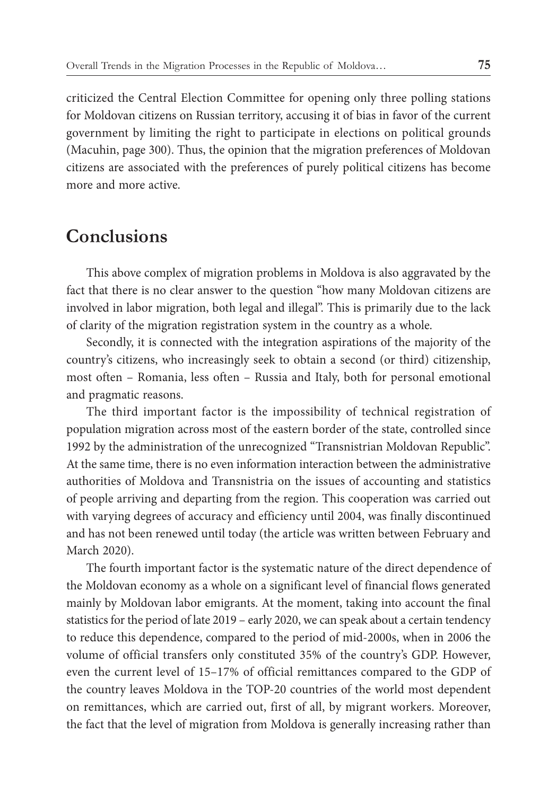criticized the Central Election Committee for opening only three polling stations for Moldovan citizens on Russian territory, accusing it of bias in favor of the current government by limiting the right to participate in elections on political grounds (Macuhin, page 300). Thus, the opinion that the migration preferences of Moldovan citizens are associated with the preferences of purely political citizens has become more and more active.

## **Conclusions**

This above complex of migration problems in Moldova is also aggravated by the fact that there is no clear answer to the question "how many Moldovan citizens are involved in labor migration, both legal and illegal". This is primarily due to the lack of clarity of the migration registration system in the country as a whole.

Secondly, it is connected with the integration aspirations of the majority of the country's citizens, who increasingly seek to obtain a second (or third) citizenship, most often – Romania, less often – Russia and Italy, both for personal emotional and pragmatic reasons.

The third important factor is the impossibility of technical registration of population migration across most of the eastern border of the state, controlled since 1992 by the administration of the unrecognized "Transnistrian Moldovan Republic". At the same time, there is no even information interaction between the administrative authorities of Moldova and Transnistria on the issues of accounting and statistics of people arriving and departing from the region. This cooperation was carried out with varying degrees of accuracy and efficiency until 2004, was finally discontinued and has not been renewed until today (the article was written between February and March 2020).

The fourth important factor is the systematic nature of the direct dependence of the Moldovan economy as a whole on a significant level of financial flows generated mainly by Moldovan labor emigrants. At the moment, taking into account the final statistics for the period of late 2019 – early 2020, we can speak about a certain tendency to reduce this dependence, compared to the period of mid-2000s, when in 2006 the volume of official transfers only constituted 35% of the country's GDP. However, even the current level of 15–17% of official remittances compared to the GDP of the country leaves Moldova in the TOP-20 countries of the world most dependent on remittances, which are carried out, first of all, by migrant workers. Moreover, the fact that the level of migration from Moldova is generally increasing rather than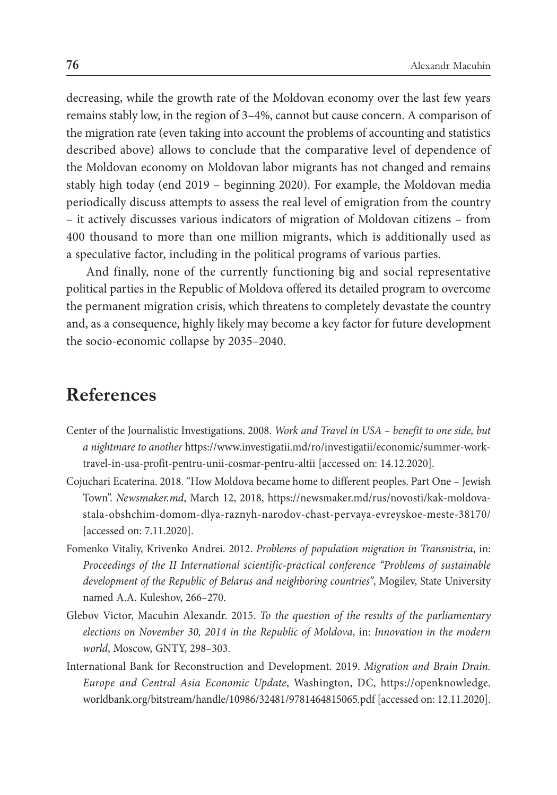decreasing, while the growth rate of the Moldovan economy over the last few years remains stably low, in the region of 3–4%, cannot but cause concern. A comparison of the migration rate (even taking into account the problems of accounting and statistics described above) allows to conclude that the comparative level of dependence of the Moldovan economy on Moldovan labor migrants has not changed and remains stably high today (end 2019 – beginning 2020). For example, the Moldovan media periodically discuss attempts to assess the real level of emigration from the country – it actively discusses various indicators of migration of Moldovan citizens – from 400 thousand to more than one million migrants, which is additionally used as a speculative factor, including in the political programs of various parties.

And finally, none of the currently functioning big and social representative political parties in the Republic of Moldova offered its detailed program to overcome the permanent migration crisis, which threatens to completely devastate the country and, as a consequence, highly likely may become a key factor for future development the socio-economic collapse by 2035–2040.

## **References**

- Center of the Journalistic Investigations. 2008. *Work and Travel in USA benefit to one side, but a nightmare to another* https://www.investigatii.md/ro/investigatii/economic/summer-worktravel-in-usa-profit-pentru-unii-cosmar-pentru-altii [accessed on: 14.12.2020].
- Cojuchari Ecaterina. 2018. "How Moldova became home to different peoples. Part One Jewish Town". *Newsmaker.md*, March 12, 2018, https://newsmaker.md/rus/novosti/kak-moldovastala-obshchim-domom-dlya-raznyh-narodov-chast-pervaya-evreyskoe-meste-38170/ [accessed on: 7.11.2020].
- Fomenko Vitaliy, Krivenko Andrei. 2012. *Problems of population migration in Transnistria*, in: *Proceedings of the II International scientific-practical conference "Problems of sustainable development of the Republic of Belarus and neighboring countries"*, Mogilev, State University named A.A. Kuleshov, 266–270.
- Glebov Victor, Macuhin Alexandr. 2015. *To the question of the results of the parliamentary elections on November 30, 2014 in the Republic of Moldova*, in: *Innovation in the modern world*, Moscow, GNTY, 298–303.
- International Bank for Reconstruction and Development. 2019. *Migration and Brain Drain*. *Europe and Central Asia Economic Update*, Washington, DC, https://openknowledge. worldbank.org/bitstream/handle/10986/32481/9781464815065.pdf [accessed on: 12.11.2020].